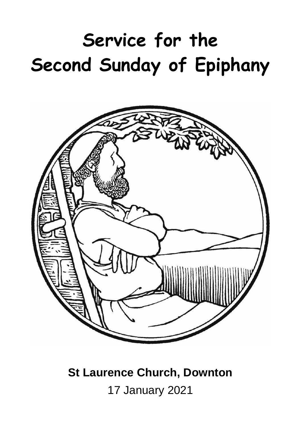# **Service for the Second Sunday of Epiphany**



## **St Laurence Church, Downton**

17 January 2021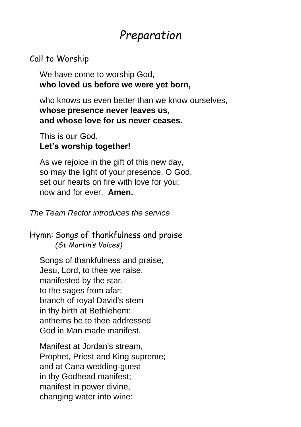### *Preparation*

#### Call to Worship

We have come to worship God, **who loved us before we were yet born,**

who knows us even better than we know ourselves. **whose presence never leaves us, and whose love for us never ceases.**

This is our God. **Let's worship together!**

As we rejoice in the gift of this new day, so may the light of your presence, O God, set our hearts on fire with love for you; now and for ever. **Amen.**

*The Team Rector introduces the service*

Hymn: Songs of thankfulness and praise *(St Martin's Voices)*

Songs of thankfulness and praise, Jesu, Lord, to thee we raise, manifested by the star, to the sages from afar; branch of royal David's stem in thy birth at Bethlehem: anthems be to thee addressed God in Man made manifest.

Manifest at Jordan's stream, Prophet, Priest and King supreme; and at Cana wedding-guest in thy Godhead manifest; manifest in power divine, changing water into wine: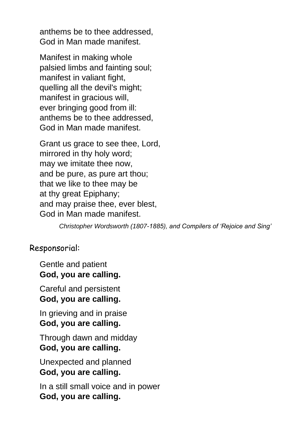anthems be to thee addressed, God in Man made manifest.

Manifest in making whole palsied limbs and fainting soul; manifest in valiant fight, quelling all the devil's might; manifest in gracious will, ever bringing good from ill: anthems be to thee addressed, God in Man made manifest.

Grant us grace to see thee, Lord, mirrored in thy holy word; may we imitate thee now, and be pure, as pure art thou; that we like to thee may be at thy great Epiphany; and may praise thee, ever blest, God in Man made manifest.

*Christopher Wordsworth (1807-1885), and Compilers of 'Rejoice and Sing'*

#### Responsorial:

Gentle and patient **God, you are calling.**

Careful and persistent **God, you are calling.**

In grieving and in praise **God, you are calling.**

Through dawn and midday **God, you are calling.**

Unexpected and planned **God, you are calling.**

In a still small voice and in power **God, you are calling.**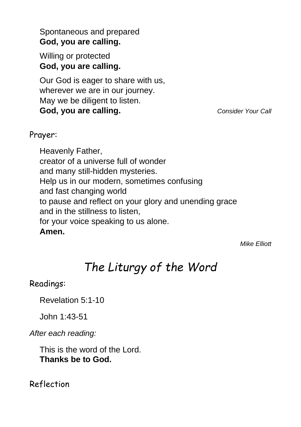Spontaneous and prepared **God, you are calling.**

Willing or protected **God, you are calling.**

Our God is eager to share with us, wherever we are in our journey. May we be diligent to listen. **God, you are calling.** *Consider Your Call*

#### Prayer:

Heavenly Father, creator of a universe full of wonder and many still-hidden mysteries. Help us in our modern, sometimes confusing and fast changing world to pause and reflect on your glory and unending grace and in the stillness to listen, for your voice speaking to us alone. **Amen.**

*Mike Elliott*

### *The Liturgy of the Word*

#### Readings:

Revelation 5:1-10

John 1:43-51

*After each reading:*

This is the word of the Lord. **Thanks be to God.**

Reflection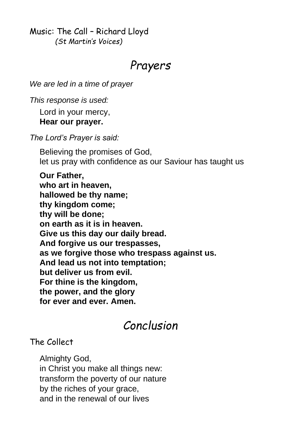Music: The Call – Richard Lloyd *(St Martin's Voices)*

### *Prayers*

*We are led in a time of prayer*

*This response is used:*

Lord in your mercy, **Hear our prayer.**

*The Lord's Prayer is said:*

Believing the promises of God, let us pray with confidence as our Saviour has taught us

**Our Father, who art in heaven, hallowed be thy name; thy kingdom come; thy will be done; on earth as it is in heaven. Give us this day our daily bread. And forgive us our trespasses, as we forgive those who trespass against us. And lead us not into temptation; but deliver us from evil. For thine is the kingdom, the power, and the glory for ever and ever. Amen.**

### *Conclusion*

### The Collect

Almighty God, in Christ you make all things new: transform the poverty of our nature by the riches of your grace, and in the renewal of our lives